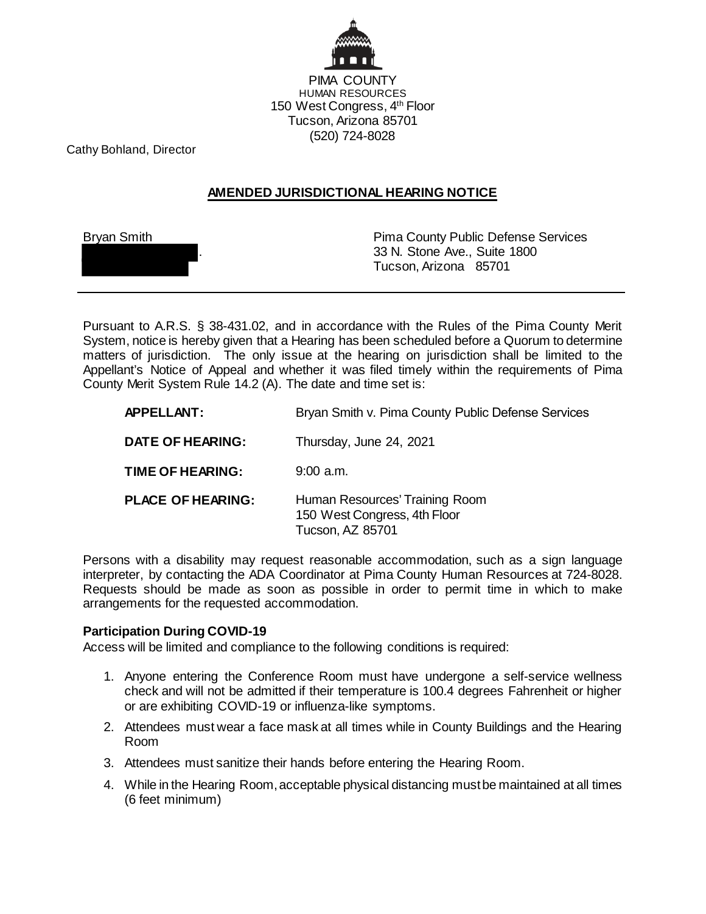

Cathy Bohland, Director

## **AMENDED JURISDICTIONAL HEARING NOTICE**

| <b>Bryan Smith</b> |  |
|--------------------|--|
|                    |  |

**Pima County Public Defense Services** . 33 N. Stone Ave., Suite 1800 Tucson, Arizona 85701

Pursuant to A.R.S. § 38-431.02, and in accordance with the Rules of the Pima County Merit System, notice is hereby given that a Hearing has been scheduled before a Quorum to determine matters of jurisdiction. The only issue at the hearing on jurisdiction shall be limited to the Appellant's Notice of Appeal and whether it was filed timely within the requirements of Pima County Merit System Rule 14.2 (A). The date and time set is:

| APPELLANT:               | Bryan Smith v. Pima County Public Defense Services                                 |
|--------------------------|------------------------------------------------------------------------------------|
| <b>DATE OF HEARING:</b>  | Thursday, June 24, 2021                                                            |
| TIME OF HEARING:         | $9:00$ a.m.                                                                        |
| <b>PLACE OF HEARING:</b> | Human Resources' Training Room<br>150 West Congress, 4th Floor<br>Tucson, AZ 85701 |

Persons with a disability may request reasonable accommodation, such as a sign language interpreter, by contacting the ADA Coordinator at Pima County Human Resources at 724-8028. Requests should be made as soon as possible in order to permit time in which to make arrangements for the requested accommodation.

## **Participation During COVID-19**

Access will be limited and compliance to the following conditions is required:

- 1. Anyone entering the Conference Room must have undergone a self-service wellness check and will not be admitted if their temperature is 100.4 degrees Fahrenheit or higher or are exhibiting COVID-19 or influenza-like symptoms.
- 2. Attendees must wear a face mask at all times while in County Buildings and the Hearing Room
- 3. Attendees must sanitize their hands before entering the Hearing Room.
- 4. While in the Hearing Room, acceptable physical distancing must be maintained at all times (6 feet minimum)